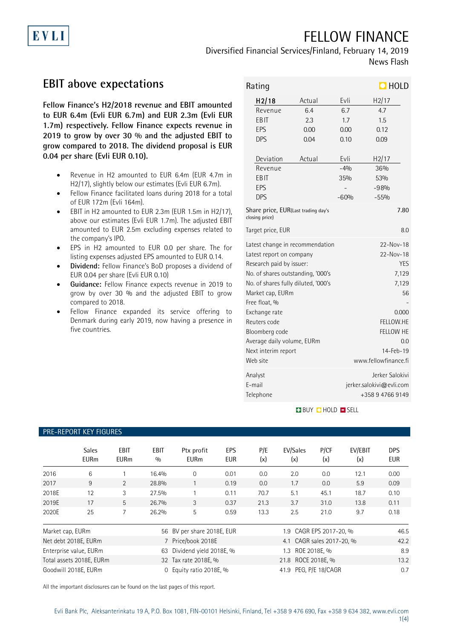# FELLOW FINANCE

Diversified Financial Services/Finland, February 14, 2019 News Flash

## **EBIT above expectations**

EVLI

**Fellow Finance's H2/2018 revenue and EBIT amounted to EUR 6.4m (Evli EUR 6.7m) and EUR 2.3m (Evli EUR 1.7m) respectively. Fellow Finance expects revenue in 2019 to grow by over 30 % and the adjusted EBIT to grow compared to 2018. The dividend proposal is EUR 0.04 per share (Evli EUR 0.10).**

- Revenue in H2 amounted to EUR 6.4m (EUR 4.7m in H2/17), slightly below our estimates (Evli EUR 6.7m).
- Fellow Finance facilitated loans during 2018 for a total of EUR 172m (Evli 164m).
- EBIT in H2 amounted to EUR 2.3m (EUR 1.5m in H2/17), above our estimates (Evli EUR 1.7m). The adjusted EBIT amounted to EUR 2.5m excluding expenses related to the company's IPO.
- EPS in H2 amounted to EUR 0.0 per share. The for listing expenses adjusted EPS amounted to EUR 0.14.
- **Dividend:** Fellow Finance's BoD proposes a dividend of EUR 0.04 per share (Evli EUR 0.10)
- **Guidance:** Fellow Finance expects revenue in 2019 to grow by over 30 % and the adjusted EBIT to grow compared to 2018.
- Fellow Finance expanded its service offering to Denmark during early 2019, now having a presence in five countries.

|        | Rating                                                |        |                      | $\Box$ HOLD              |      |  |  |
|--------|-------------------------------------------------------|--------|----------------------|--------------------------|------|--|--|
|        | H <sub>2</sub> /18<br>Actual                          |        | Evli                 | H2/17                    |      |  |  |
|        | 6.4<br>Revenue                                        |        | 6.7                  | 4.7                      |      |  |  |
|        | EBIT                                                  | 2.3    | 1.7                  | 1.5                      |      |  |  |
|        | EPS                                                   | 0.00   | 0.00                 | 0.12                     |      |  |  |
|        | <b>DPS</b>                                            | 0.04   | 0.10                 | 0.09                     |      |  |  |
|        | Deviation                                             | Actual | Evli                 | H2/17                    |      |  |  |
|        | Revenue                                               |        | $-4%$                | 36%                      |      |  |  |
|        | EBIT                                                  |        | 35%                  | 53%                      |      |  |  |
|        | EPS                                                   |        |                      | $-98%$                   |      |  |  |
|        | <b>DPS</b>                                            |        | $-60%$               | $-55%$                   |      |  |  |
|        | Share price, EUR(Last trading day's<br>closing price) |        |                      |                          | 7.80 |  |  |
|        | Target price, EUR                                     |        |                      |                          | 8.0  |  |  |
|        | Latest change in recommendation                       |        |                      | 22-Nov-18                |      |  |  |
|        | Latest report on company                              |        |                      | 22-Nov-18                |      |  |  |
|        | Research paid by issuer:                              |        |                      | <b>YES</b>               |      |  |  |
|        | No. of shares outstanding, '000's                     |        |                      | 7,129                    |      |  |  |
|        | No. of shares fully diluted, '000's                   |        |                      | 7,129                    |      |  |  |
|        | Market cap, EURm                                      |        |                      | 56                       |      |  |  |
|        | Free float, %                                         |        |                      |                          |      |  |  |
|        | Exchange rate                                         |        |                      | 0.000                    |      |  |  |
|        | Reuters code                                          |        |                      | FELLOW.HE                |      |  |  |
|        | Bloomberg code                                        |        |                      | <b>FELLOW HE</b>         |      |  |  |
|        | Average daily volume, EURm                            |        |                      | 0.0                      |      |  |  |
|        | Next interim report                                   |        |                      | $14 - Feb - 19$          |      |  |  |
|        | Web site                                              |        | www.fellowfinance.fi |                          |      |  |  |
|        | Analyst                                               |        |                      | Jerker Salokivi          |      |  |  |
| E-mail |                                                       |        |                      | jerker.salokivi@evli.com |      |  |  |
|        | Telephone                                             |        |                      | +358947669149            |      |  |  |

**BUY O HOLD O SELL** 

#### PRE-REPORT KEY FIGURES

|                              | <b>Sales</b><br><b>EURm</b> | <b>EBIT</b><br><b>EURm</b> | <b>EBIT</b><br>0/0      | Ptx profit<br><b>EURm</b>  | <b>EPS</b><br><b>EUR</b> | P/E<br>(x)                | EV/Sales<br>(x)       | P/CF<br>(x)         | EV/EBIT<br>(x) | <b>DPS</b><br><b>EUR</b> |
|------------------------------|-----------------------------|----------------------------|-------------------------|----------------------------|--------------------------|---------------------------|-----------------------|---------------------|----------------|--------------------------|
| 2016                         | 6                           |                            | 16.4%                   | $\Omega$                   | 0.01                     | 0.0                       | 2.0                   | 0.0                 | 12.1           | 0.00                     |
| 2017                         | 9                           | $\overline{2}$             | 28.8%                   |                            | 0.19                     | 0.0                       | 1.7                   | 0.0                 | 5.9            | 0.09                     |
| 2018E                        | 12                          | 3                          | 27.5%                   |                            | 0.11                     | 70.7                      | 5.1                   | 45.1                | 18.7           | 0.10                     |
| 2019E                        | 17                          | 5                          | 26.7%                   | 3                          | 0.37                     | 21.3                      | 3.7                   | 31.0                | 13.8           | 0.11                     |
| 2020E                        | 25                          | 7                          | 26.2%                   | 5                          | 0.59                     | 13.3                      | 2.5                   | 21.0                | 9.7            | 0.18                     |
| Market cap, EURm             |                             |                            |                         | 56 BV per share 2018E, EUR |                          |                           | 1.9                   | CAGR EPS 2017-20, % |                | 46.5                     |
| Net debt 2018E, EURm         |                             |                            | 7 Price/book 2018E      |                            |                          | 4.1 CAGR sales 2017-20, % |                       |                     | 42.2           |                          |
| Enterprise value, EURm<br>63 |                             |                            | Dividend yield 2018E, % |                            |                          | 1.3                       | ROE 2018E, %          |                     | 8.9            |                          |
| Total assets 2018E, EURm     |                             |                            | 32 Tax rate 2018E, %    |                            |                          | 21.8 ROCE 2018E. %        |                       |                     | 13.2           |                          |
| Goodwill 2018E, EURm<br>0    |                             |                            |                         | Equity ratio 2018E, %      |                          |                           | 41.9 PEG, P/E 18/CAGR |                     |                | 0.7                      |

All the important disclosures can be found on the last pages of this report.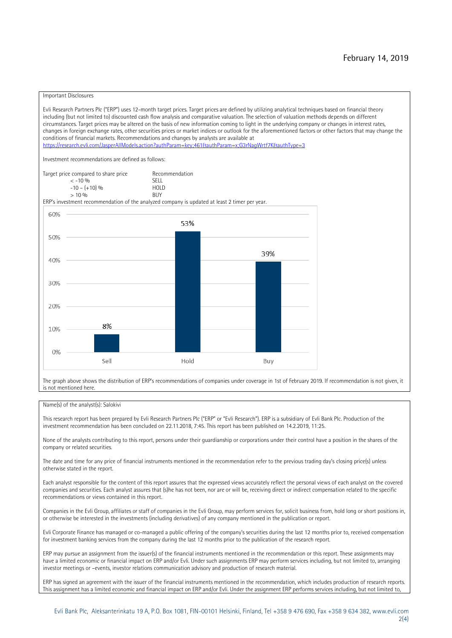#### Important Disclosures

Evli Research Partners Plc ("ERP") uses 12-month target prices. Target prices are defined by utilizing analytical techniques based on financial theory including (but not limited to) discounted cash flow analysis and comparative valuation. The selection of valuation methods depends on different circumstances. Target prices may be altered on the basis of new information coming to light in the underlying company or changes in interest rates, changes in foreign exchange rates, other securities prices or market indices or outlook for the aforementioned factors or other factors that may change the conditions of financial markets. Recommendations and changes by analysts are available at <https://research.evli.com/JasperAllModels.action?authParam=key;461&authParam=x;G3rNagWrtf7K&authType=3>

Investment recommendations are defined as follows:



The graph above shows the distribution of ERP's recommendations of companies under coverage in 1st of February 2019. If recommendation is not given, it is not mentioned here.

#### Name(s) of the analyst(s): Salokivi

This research report has been prepared by Evli Research Partners Plc ("ERP" or "Evli Research"). ERP is a subsidiary of Evli Bank Plc. Production of the investment recommendation has been concluded on 22.11.2018, 7:45. This report has been published on 14.2.2019, 11:25.

None of the analysts contributing to this report, persons under their guardianship or corporations under their control have a position in the shares of the company or related securities.

The date and time for any price of financial instruments mentioned in the recommendation refer to the previous trading day's closing price(s) unless otherwise stated in the report.

Each analyst responsible for the content of this report assures that the expressed views accurately reflect the personal views of each analyst on the covered companies and securities. Each analyst assures that (s)he has not been, nor are or will be, receiving direct or indirect compensation related to the specific recommendations or views contained in this report.

Companies in the Evli Group, affiliates or staff of companies in the Evli Group, may perform services for, solicit business from, hold long or short positions in, or otherwise be interested in the investments (including derivatives) of any company mentioned in the publication or report.

Evli Corporate Finance has managed or co-managed a public offering of the company's securities during the last 12 months prior to, received compensation for investment banking services from the company during the last 12 months prior to the publication of the research report.

ERP may pursue an assignment from the issuer(s) of the financial instruments mentioned in the recommendation or this report. These assignments may have a limited economic or financial impact on ERP and/or Evli. Under such assignments ERP may perform services including, but not limited to, arranging investor meetings or –events, investor relations communication advisory and production of research material.

ERP has signed an agreement with the issuer of the financial instruments mentioned in the recommendation, which includes production of research reports. This assignment has a limited economic and financial impact on ERP and/or Evli. Under the assignment ERP performs services including, but not limited to,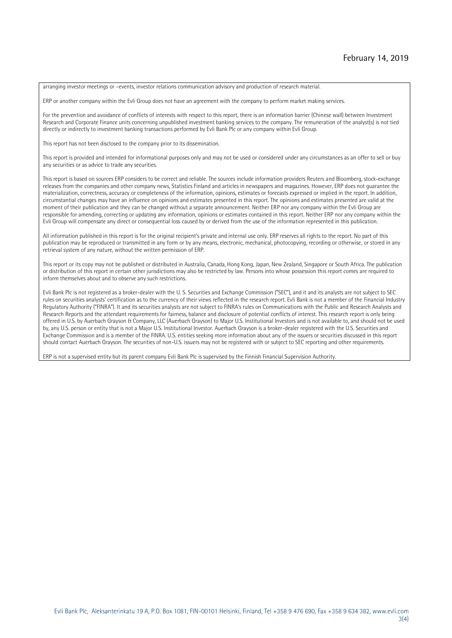arranging investor meetings or –events, investor relations communication advisory and production of research material.

ERP or another company within the Evli Group does not have an agreement with the company to perform market making services.

For the prevention and avoidance of conflicts of interests with respect to this report, there is an information barrier (Chinese wall) between Investment Research and Corporate Finance units concerning unpublished investment banking services to the company. The remuneration of the analyst(s) is not tied directly or indirectly to investment banking transactions performed by Evli Bank Plc or any company within Evli Group.

This report has not been disclosed to the company prior to its dissemination.

This report is provided and intended for informational purposes only and may not be used or considered under any circumstances as an offer to sell or buy any securities or as advice to trade any securities.

This report is based on sources ERP considers to be correct and reliable. The sources include information providers Reuters and Bloomberg, stock-exchange releases from the companies and other company news, Statistics Finland and articles in newspapers and magazines. However, ERP does not guarantee the materialization, correctness, accuracy or completeness of the information, opinions, estimates or forecasts expressed or implied in the report. In addition, circumstantial changes may have an influence on opinions and estimates presented in this report. The opinions and estimates presented are valid at the moment of their publication and they can be changed without a separate announcement. Neither ERP nor any company within the Evli Group are responsible for amending, correcting or updating any information, opinions or estimates contained in this report. Neither ERP nor any company within the Evli Group will compensate any direct or consequential loss caused by or derived from the use of the information represented in this publication.

All information published in this report is for the original recipient's private and internal use only. ERP reserves all rights to the report. No part of this publication may be reproduced or transmitted in any form or by any means, electronic, mechanical, photocopying, recording or otherwise, or stored in any retrieval system of any nature, without the written permission of ERP.

This report or its copy may not be published or distributed in Australia, Canada, Hong Kong, Japan, New Zealand, Singapore or South Africa. The publication or distribution of this report in certain other jurisdictions may also be restricted by law. Persons into whose possession this report comes are required to inform themselves about and to observe any such restrictions.

Evli Bank Plc is not registered as a broker-dealer with the U. S. Securities and Exchange Commission ("SEC"), and it and its analysts are not subject to SEC rules on securities analysts' certification as to the currency of their views reflected in the research report. Evli Bank is not a member of the Financial Industry Regulatory Authority ("FINRA"). It and its securities analysts are not subject to FINRA's rules on Communications with the Public and Research Analysts and Research Reports and the attendant requirements for fairness, balance and disclosure of potential conflicts of interest. This research report is only being offered in U.S. by Auerbach Grayson & Company, LLC (Auerbach Grayson) to Major U.S. Institutional Investors and is not available to, and should not be used by, any U.S. person or entity that is not a Major U.S. Institutional Investor. Auerbach Grayson is a broker-dealer registered with the U.S. Securities and Exchange Commission and is a member of the FINRA. U.S. entities seeking more information about any of the issuers or securities discussed in this report should contact Auerbach Grayson. The securities of non-U.S. issuers may not be registered with or subject to SEC reporting and other requirements.

ERP is not a supervised entity but its parent company Evli Bank Plc is supervised by the Finnish Financial Supervision Authority.